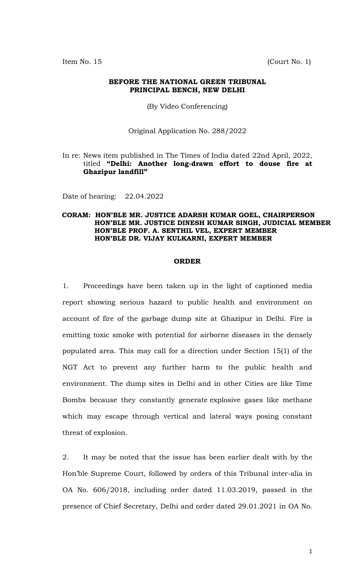Item No. 15 (Court No. 1)

#### **BEFORE THE NATIONAL GREEN TRIBUNAL PRINCIPAL BENCH, NEW DELHI**

(By Video Conferencing)

Original Application No. 288/2022

### In re: News item published in The Times of India dated 22nd April, 2022, titled **"Delhi: Another long-drawn effort to douse fire at Ghazipur landfill"**

Date of hearing: 22.04.2022

### **CORAM: HON'BLE MR. JUSTICE ADARSH KUMAR GOEL, CHAIRPERSON HON'BLE MR. JUSTICE DINESH KUMAR SINGH, JUDICIAL MEMBER HON'BLE PROF. A. SENTHIL VEL, EXPERT MEMBER HON'BLE DR. VIJAY KULKARNI, EXPERT MEMBER**

### **ORDER**

1. Proceedings have been taken up in the light of captioned media report showing serious hazard to public health and environment on account of fire of the garbage dump site at Ghazipur in Delhi. Fire is emitting toxic smoke with potential for airborne diseases in the densely populated area. This may call for a direction under Section 15(1) of the NGT Act to prevent any further harm to the public health and environment. The dump sites in Delhi and in other Cities are like Time Bombs because they constantly generate explosive gases like methane which may escape through vertical and lateral ways posing constant threat of explosion.

2. It may be noted that the issue has been earlier dealt with by the Hon'ble Supreme Court, followed by orders of this Tribunal inter-alia in OA No. 606/2018, including order dated 11.03.2019, passed in the presence of Chief Secretary, Delhi and order dated 29.01.2021 in OA No.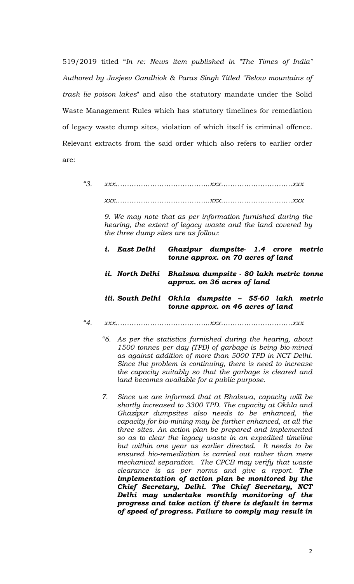519/2019 titled "*In re: News item published in "The Times of India" Authored by Jasjeev Gandhiok & Paras Singh Titled "Below mountains of trash lie poison lakes*" and also the statutory mandate under the Solid Waste Management Rules which has statutory timelines for remediation of legacy waste dump sites, violation of which itself is criminal offence. Relevant extracts from the said order which also refers to earlier order are:

*"3. xxx…………………………………..xxx………………………….xxx* 

*xxx…………………………………..xxx………………………….xxx* 

*9. We may note that as per information furnished during the hearing, the extent of legacy waste and the land covered by the three dump sites are as follow:* 

| i. East Delhi | Ghazipur dumpsite- 1.4 crore metric<br>tonne approx. on 70 acres of land                    |
|---------------|---------------------------------------------------------------------------------------------|
|               | ii. North Delhi   Bhalswa dumpsite - 80 lakh metric tonne<br>approx. on 36 acres of land    |
|               | iii. South Delhi  Okhla  dumpsite – 55-60 lakh  metric<br>tonne approx. on 46 acres of land |

- *"4. xxx…………………………………..xxx………………………….xxx* 
	- *"6. As per the statistics furnished during the hearing, about 1500 tonnes per day (TPD) of garbage is being bio-mined as against addition of more than 5000 TPD in NCT Delhi. Since the problem is continuing, there is need to increase the capacity suitably so that the garbage is cleared and land becomes available for a public purpose.*
	- *7. Since we are informed that at Bhalswa, capacity will be shortly increased to 3300 TPD. The capacity at Okhla and Ghazipur dumpsites also needs to be enhanced, the capacity for bio-mining may be further enhanced, at all the three sites. An action plan be prepared and implemented so as to clear the legacy waste in an expedited timeline but within one year as earlier directed. It needs to be ensured bio-remediation is carried out rather than mere mechanical separation. The CPCB may verify that waste clearance is as per norms and give a report. The implementation of action plan be monitored by the Chief Secretary, Delhi. The Chief Secretary, NCT Delhi may undertake monthly monitoring of the progress and take action if there is default in terms of speed of progress. Failure to comply may result in*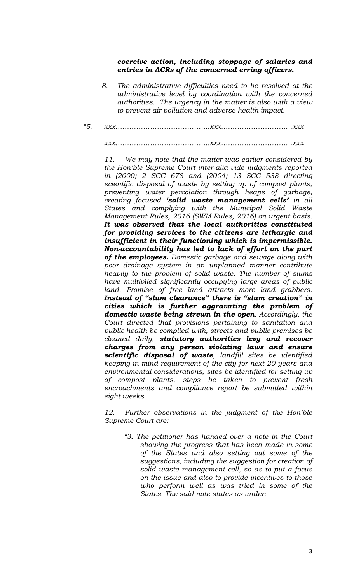## *coercive action, including stoppage of salaries and entries in ACRs of the concerned erring officers.*

- *8. The administrative difficulties need to be resolved at the administrative level by coordination with the concerned authorities. The urgency in the matter is also with a view to prevent air pollution and adverse health impact.*
- *"5. xxx…………………………………..xxx………………………….xxx*

*xxx…………………………………..xxx………………………….xxx* 

*11. We may note that the matter was earlier considered by the Hon'ble Supreme Court inter-alia vide judgments reported in (2000) 2 SCC 678 and (2004) 13 SCC 538 directing scientific disposal of waste by setting up of compost plants, preventing water percolation through heaps of garbage, creating focused 'solid waste management cells' in all States and complying with the Municipal Solid Waste Management Rules, 2016 (SWM Rules, 2016) on urgent basis. It was observed that the local authorities constituted for providing services to the citizens are lethargic and insufficient in their functioning which is impermissible. Non-accountability has led to lack of effort on the part of the employees. Domestic garbage and sewage along with poor drainage system in an unplanned manner contribute heavily to the problem of solid waste. The number of slums have multiplied significantly occupying large areas of public land. Promise of free land attracts more land grabbers. Instead of "slum clearance" there is "slum creation" in cities which is further aggravating the problem of domestic waste being strewn in the open. Accordingly, the Court directed that provisions pertaining to sanitation and public health be complied with, streets and public premises be cleaned daily, statutory authorities levy and recover charges from any person violating laws and ensure scientific disposal of waste, landfill sites be identified keeping in mind requirement of the city for next 20 years and environmental considerations, sites be identified for setting up of compost plants, steps be taken to prevent fresh encroachments and compliance report be submitted within eight weeks.* 

*12. Further observations in the judgment of the Hon'ble Supreme Court are:* 

*"3. The petitioner has handed over a note in the Court showing the progress that has been made in some of the States and also setting out some of the suggestions, including the suggestion for creation of solid waste management cell, so as to put a focus on the issue and also to provide incentives to those who perform well as was tried in some of the States. The said note states as under:*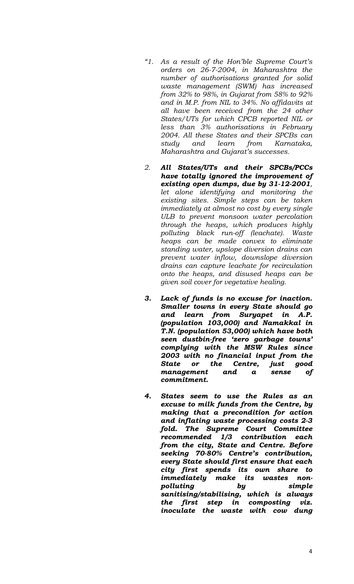- *"1. As a result of the Hon'ble Supreme Court's orders on 26-7-2004, in Maharashtra the number of authorisations granted for solid waste management (SWM) has increased from 32% to 98%, in Gujarat from 58% to 92% and in M.P. from NIL to 34%. No affidavits at all have been received from the 24 other States/UTs for which CPCB reported NIL or less than 3% authorisations in February 2004. All these States and their SPCBs can study and learn from Karnataka, Maharashtra and Gujarat's successes.*
- *2. All States/UTs and their SPCBs/PCCs have totally ignored the improvement of existing open dumps, due by 31-12-2001, let alone identifying and monitoring the existing sites. Simple steps can be taken immediately at almost no cost by every single ULB to prevent monsoon water percolation through the heaps, which produces highly polluting black run-off (leachate). Waste heaps can be made convex to eliminate standing water, upslope diversion drains can prevent water inflow, downslope diversion drains can capture leachate for recirculation onto the heaps, and disused heaps can be given soil cover for vegetative healing.*
- *3. Lack of funds is no excuse for inaction. Smaller towns in every State should go and learn from Suryapet in A.P. (population 103,000) and Namakkal in T.N. (population 53,000) which have both seen dustbin-free 'zero garbage towns' complying with the MSW Rules since 2003 with no financial input from the State or the Centre, just good management and a sense of commitment.*
- *4. States seem to use the Rules as an excuse to milk funds from the Centre, by making that a precondition for action and inflating waste processing costs 2-3 fold. The Supreme Court Committee recommended 1/3 contribution each from the city, State and Centre. Before seeking 70-80% Centre's contribution, every State should first ensure that each city first spends its own share to immediately make its wastes nonpolluting by simple sanitising/stabilising, which is always the first step in composting viz. inoculate the waste with cow dung*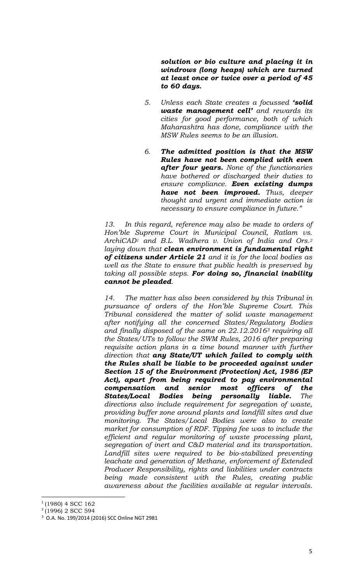*solution or bio culture and placing it in windrows (long heaps) which are turned at least once or twice over a period of 45 to 60 days.* 

- *5. Unless each State creates a focussed 'solid waste management cell' and rewards its cities for good performance, both of which Maharashtra has done, compliance with the MSW Rules seems to be an illusion.*
- *6. The admitted position is that the MSW Rules have not been complied with even after four years. None of the functionaries have bothered or discharged their duties to ensure compliance. Even existing dumps have not been improved. Thus, deeper thought and urgent and immediate action is necessary to ensure compliance in future."*

*13. In this regard, reference may also be made to orders of Hon'ble Supreme Court in Municipal Council, Ratlam vs. ArchiCAD1 and B.L. Wadhera v. Union of India and Ors.<sup>2</sup> laying down that clean environment is fundamental right of citizens under Article 21 and it is for the local bodies as well as the State to ensure that public health is preserved by taking all possible steps. For doing so, financial inability cannot be pleaded.* 

*14. The matter has also been considered by this Tribunal in pursuance of orders of the Hon'ble Supreme Court. This Tribunal considered the matter of solid waste management after notifying all the concerned States/Regulatory Bodies and finally disposed of the same on 22.12.20163 requiring all the States/UTs to follow the SWM Rules, 2016 after preparing requisite action plans in a time bound manner with further direction that any State/UT which failed to comply with the Rules shall be liable to be proceeded against under Section 15 of the Environment (Protection) Act, 1986 (EP Act), apart from being required to pay environmental compensation and senior most officers of the States/Local Bodies being personally liable. The directions also include requirement for segregation of waste, providing buffer zone around plants and landfill sites and due monitoring. The States/Local Bodies were also to create market for consumption of RDF. Tipping fee was to include the efficient and regular monitoring of waste processing plant, segregation of inert and C&D material and its transportation.*  Landfill sites were required to be bio-stabilized preventing *leachate and generation of Methane, enforcement of Extended Producer Responsibility, rights and liabilities under contracts being made consistent with the Rules, creating public awareness about the facilities available at regular intervals.* 

<sup>1</sup> (1980) 4 SCC 162

<sup>2</sup> (1996) 2 SCC 594

<sup>3</sup> O.A. No. 199/2014 (2016) SCC Online NGT 2981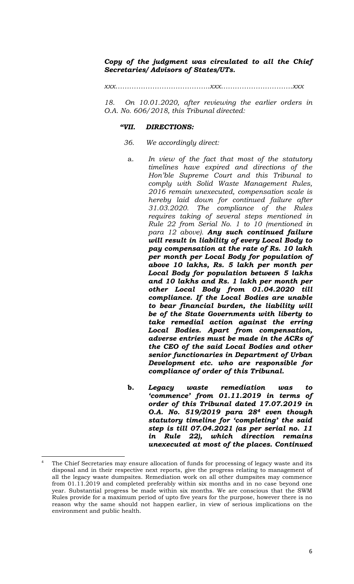# *Copy of the judgment was circulated to all the Chief Secretaries/ Advisors of States/UTs.*

*xxx…………………………………..xxx………………………….xxx* 

*18. On 10.01.2020, after reviewing the earlier orders in O.A. No. 606/2018, this Tribunal directed:*

#### *"VII. DIRECTIONS:*

- *36. We accordingly direct:* 
	- a. *In view of the fact that most of the statutory timelines have expired and directions of the Hon'ble Supreme Court and this Tribunal to comply with Solid Waste Management Rules, 2016 remain unexecuted, compensation scale is hereby laid down for continued failure after 31.03.2020. The compliance of the Rules requires taking of several steps mentioned in Rule 22 from Serial No. 1 to 10 (mentioned in para 12 above). Any such continued failure will result in liability of every Local Body to pay compensation at the rate of Rs. 10 lakh per month per Local Body for population of above 10 lakhs, Rs. 5 lakh per month per Local Body for population between 5 lakhs and 10 lakhs and Rs. 1 lakh per month per other Local Body from 01.04.2020 till compliance. If the Local Bodies are unable to bear financial burden, the liability will be of the State Governments with liberty to take remedial action against the erring Local Bodies. Apart from compensation, adverse entries must be made in the ACRs of the CEO of the said Local Bodies and other senior functionaries in Department of Urban Development etc. who are responsible for compliance of order of this Tribunal.*
	- **b.** *Legacy waste remediation was to 'commence' from 01.11.2019 in terms of order of this Tribunal dated 17.07.2019 in O.A. No. 519/2019 para 284 even though statutory timeline for 'completing' the said step is till 07.04.2021 (as per serial no. 11 in Rule 22), which direction remains unexecuted at most of the places. Continued*

The Chief Secretaries may ensure allocation of funds for processing of legacy waste and its disposal and in their respective next reports, give the progress relating to management of all the legacy waste dumpsites. Remediation work on all other dumpsites may commence from 01.11.2019 and completed preferably within six months and in no case beyond one year. Substantial progress be made within six months. We are conscious that the SWM Rules provide for a maximum period of upto five years for the purpose, however there is no reason why the same should not happen earlier, in view of serious implications on the environment and public health.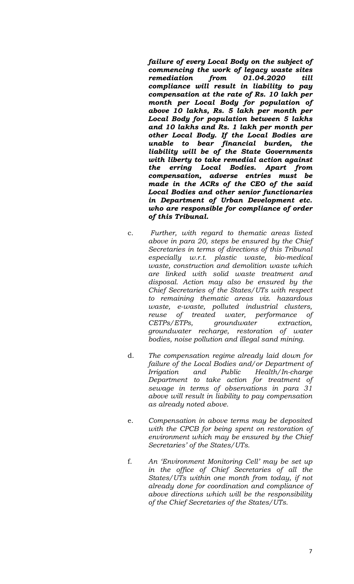*failure of every Local Body on the subject of commencing the work of legacy waste sites remediation from 01.04.2020 till compliance will result in liability to pay compensation at the rate of Rs. 10 lakh per month per Local Body for population of above 10 lakhs, Rs. 5 lakh per month per Local Body for population between 5 lakhs and 10 lakhs and Rs. 1 lakh per month per other Local Body. If the Local Bodies are unable to bear financial burden, the liability will be of the State Governments with liberty to take remedial action against the erring Local Bodies. Apart from compensation, adverse entries must be made in the ACRs of the CEO of the said Local Bodies and other senior functionaries in Department of Urban Development etc. who are responsible for compliance of order of this Tribunal.* 

- c. *Further, with regard to thematic areas listed above in para 20, steps be ensured by the Chief Secretaries in terms of directions of this Tribunal especially w.r.t. plastic waste, bio-medical waste, construction and demolition waste which are linked with solid waste treatment and disposal. Action may also be ensured by the Chief Secretaries of the States/UTs with respect to remaining thematic areas viz. hazardous waste, e-waste, polluted industrial clusters, reuse of treated water, performance of CETPs/ETPs, groundwater extraction, groundwater recharge, restoration of water bodies, noise pollution and illegal sand mining.*
- d. *The compensation regime already laid down for failure of the Local Bodies and/or Department of Irrigation and Public Health/In-charge Department to take action for treatment of sewage in terms of observations in para 31 above will result in liability to pay compensation as already noted above.*
- e. *Compensation in above terms may be deposited with the CPCB for being spent on restoration of environment which may be ensured by the Chief Secretaries' of the States/UTs.*
- f. *An 'Environment Monitoring Cell' may be set up in the office of Chief Secretaries of all the States/UTs within one month from today, if not already done for coordination and compliance of above directions which will be the responsibility of the Chief Secretaries of the States/UTs.*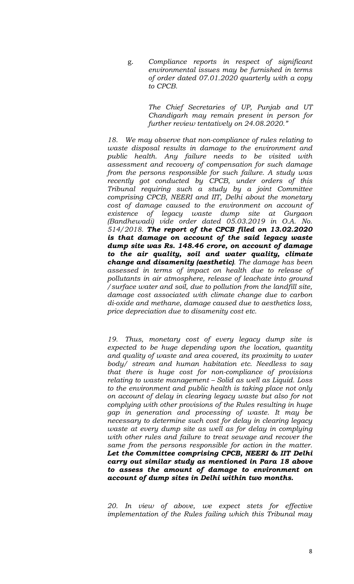g. *Compliance reports in respect of significant environmental issues may be furnished in terms of order dated 07.01.2020 quarterly with a copy to CPCB.* 

> *The Chief Secretaries of UP, Punjab and UT Chandigarh may remain present in person for further review tentatively on 24.08.2020."*

*18. We may observe that non-compliance of rules relating to waste disposal results in damage to the environment and public health. Any failure needs to be visited with assessment and recovery of compensation for such damage from the persons responsible for such failure. A study was recently got conducted by CPCB, under orders of this Tribunal requiring such a study by a joint Committee comprising CPCB, NEERI and IIT, Delhi about the monetary cost of damage caused to the environment on account of existence of legacy waste dump site at Gurgaon (Bandhewadi) vide order dated 05.03.2019 in O.A. No. 514/2018. The report of the CPCB filed on 13.02.2020 is that damage on account of the said legacy waste dump site was Rs. 148.46 crore, on account of damage to the air quality, soil and water quality, climate change and disamenity (aesthetic). The damage has been assessed in terms of impact on health due to release of pollutants in air atmosphere, release of leachate into ground /surface water and soil, due to pollution from the landfill site, damage cost associated with climate change due to carbon di-oxide and methane, damage caused due to aesthetics loss, price depreciation due to disamenity cost etc.* 

*19. Thus, monetary cost of every legacy dump site is expected to be huge depending upon the location, quantity and quality of waste and area covered, its proximity to water body/ stream and human habitation etc. Needless to say that there is huge cost for non-compliance of provisions relating to waste management – Solid as well as Liquid. Loss to the environment and public health is taking place not only on account of delay in clearing legacy waste but also for not complying with other provisions of the Rules resulting in huge gap in generation and processing of waste. It may be necessary to determine such cost for delay in clearing legacy waste at every dump site as well as for delay in complying with other rules and failure to treat sewage and recover the same from the persons responsible for action in the matter. Let the Committee comprising CPCB, NEERI & IIT Delhi carry out similar study as mentioned in Para 18 above to assess the amount of damage to environment on account of dump sites in Delhi within two months.*

*20. In view of above, we expect stets for effective implementation of the Rules failing which this Tribunal may*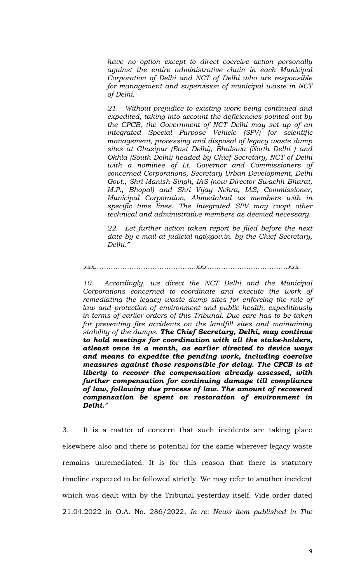*have no option except to direct coercive action personally against the entire administrative chain in each Municipal Corporation of Delhi and NCT of Delhi who are responsible for management and supervision of municipal waste in NCT of Delhi.* 

*21. Without prejudice to existing work being continued and expedited, taking into account the deficiencies pointed out by the CPCB, the Government of NCT Delhi may set up of an integrated Special Purpose Vehicle (SPV) for scientific management, processing and disposal of legacy waste dump sites at Ghazipur (East Delhi), Bhalswa (North Delhi ) and Okhla (South Delhi) headed by Chief Secretary, NCT of Delhi with a nominee of Lt. Governor and Commissioners of concerned Corporations, Secretary Urban Development, Delhi Govt., Shri Manish Singh, IAS (now Director Swachh Bharat, M.P., Bhopal) and Shri Vijay Nehra, IAS, Commissioner, Municipal Corporation, Ahmedabad as members with in specific time lines. The Integrated SPV may coopt other technical and administrative members as deemed necessary.* 

*22. Let further action taken report be filed before the next date by e-mail at judicial-ngt@gov.in. by the Chief Secretary, Delhi."* 

 *xxx……………………………………..xxx…………….……………….xxx* 

*10. Accordingly, we direct the NCT Delhi and the Municipal Corporations concerned to coordinate and execute the work of remediating the legacy waste dump sites for enforcing the rule of law and protection of environment and public health, expeditiously in terms of earlier orders of this Tribunal. Due care has to be taken for preventing fire accidents on the landfill sites and maintaining stability of the dumps. The Chief Secretary, Delhi, may continue to hold meetings for coordination with all the stake-holders, atleast once in a month, as earlier directed to device ways and means to expedite the pending work, including coercive measures against those responsible for delay. The CPCB is at liberty to recover the compensation already assessed, with further compensation for continuing damage till compliance of law, following due process of law. The amount of recovered compensation be spent on restoration of environment in Delhi."* 

3. It is a matter of concern that such incidents are taking place elsewhere also and there is potential for the same wherever legacy waste remains unremediated. It is for this reason that there is statutory timeline expected to be followed strictly. We may refer to another incident which was dealt with by the Tribunal yesterday itself. Vide order dated 21.04.2022 in O.A. No. 286/2022, *In re: News item published in The*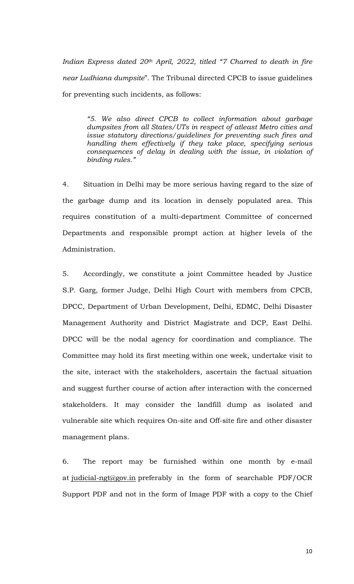*Indian Express dated 20th April, 2022, titled "7 Charred to death in fire near Ludhiana dumpsite*". The Tribunal directed CPCB to issue guidelines for preventing such incidents, as follows:

*"5. We also direct CPCB to collect information about garbage dumpsites from all States/UTs in respect of atleast Metro cities and issue statutory directions/guidelines for preventing such fires and handling them effectively if they take place, specifying serious consequences of delay in dealing with the issue, in violation of binding rules."* 

4. Situation in Delhi may be more serious having regard to the size of the garbage dump and its location in densely populated area. This requires constitution of a multi-department Committee of concerned Departments and responsible prompt action at higher levels of the Administration.

5. Accordingly, we constitute a joint Committee headed by Justice S.P. Garg, former Judge, Delhi High Court with members from CPCB, DPCC, Department of Urban Development, Delhi, EDMC, Delhi Disaster Management Authority and District Magistrate and DCP, East Delhi. DPCC will be the nodal agency for coordination and compliance. The Committee may hold its first meeting within one week, undertake visit to the site, interact with the stakeholders, ascertain the factual situation and suggest further course of action after interaction with the concerned stakeholders. It may consider the landfill dump as isolated and vulnerable site which requires On-site and Off-site fire and other disaster management plans.

6. The report may be furnished within one month by e-mail at judicial-ngt@gov.in preferably in the form of searchable PDF/OCR Support PDF and not in the form of Image PDF with a copy to the Chief

10